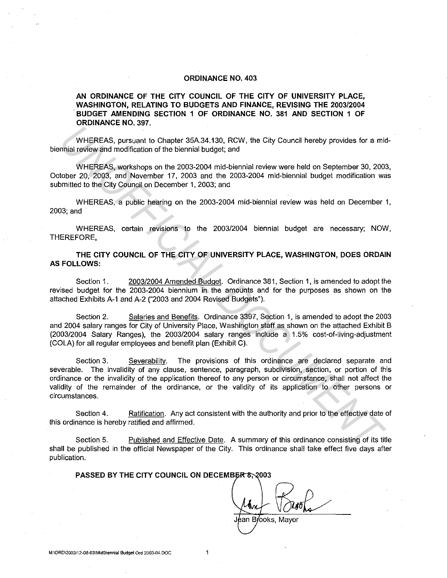### **ORDINANCE NO. 403**

## **AN ORDINANCE OF THE CITY COUNCIL OF THE CITY OF UNIVERSITY PLACE, WASHINGTON, RELATING TO BUDGETS AND FINANCE, REVISING THE 2003/2004**  . **BUDGET AMENDING SECTION 1 OF ORDINANCE NO. 381 AND SECTION 1 OF ORDINANCE NO. 397.**

WHEREAS, pursuant to Chapter 35A34.130, RCW, the City Council hereby provides for a midbiennial review and modification of the biennial budget; and

WHEREAS, workshops on the 2003-2004 mid-biennial review were held on September 30, 2003, October 20, 2003, and November 17, 2003 and the 2003-2004 mid-biennial budget modification was submitted to the City Council on December 1, 2003; and

WHEREAS, a public hearing on the 2003-2004 mid-biennial review was held on December 1, 2003;and

WHEREAS, certain revisions to the 2003/2004 biennial budget are necessary; NOW, THEREFORE,

## **THE CITY COUNCIL OF THE CITY OF UNIVERSITY PLACE, WASHINGTON, DOES ORDAIN AS FOLLOWS:**

Section 1. 2003/2004 Amended Budget. Ordinance 381, Section 1, is amended to adopt the revised budget for the 2003-2004 biennium in the amounts and for the purposes as shown on the attached Exhibits A-1 and A-2 ("2003 and 2004 Revised Budgets").

Section 2. Salaries and Benefits. Ordinance 3397, Section 1, is amended to adopt the 2003 and 2004 salary ranges for City of University Place, Washington staff as shown on the attached Exhibit B (2003/2004 Salary Ranges), the 2003/2004 salary ranges include a 1.5% cost-of-living-adjustment (COLA) for all regular employees and benefit plan (Exhibit C).

Section 3. Severability. The provisions of this ordinance are declared separate and severable. The invalidity of any clause, sentence, paragraph, subdivision, section, or portion of this ordinance or the invalidity of the application thereof to any person or circumstance, shall not affect the validity of the remainder of the ordinance, or the validity of its application to other persons or circumstances. WHEREAS, pursuant to Chapter 35A.34.130, RCW, the City Council hereby provides for a minial review and modification of the biennial budget; and<br>
WHEREAS, pursuant modification of the biennial budget; and<br>
UDIRREAS, worksho

Section 4. Ratification. Any act consistent with the authority and prior to the effective date of this ordinance is hereby ratified and affirmed.

Section 5. Published and Effective Date. A summary of this ordinance consisting of its title shall be published in the official Newspaper of the City. This ordinance shall take effect five days after publication.

## PASSED BY THE CITY COUNCIL ON DECEMBER 8, 2003

Brooks, Mayor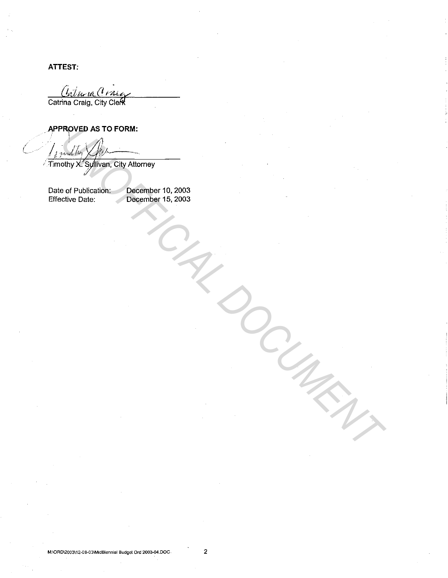**ATTEST:** 

Calma Crace

Catrina Craig, City Clerk

APPROVED AS TO FORM:

: muller

Timothy X. Syllivan, City Attorney

Date of Publication: December 10, 2003 December 15, 2003 **Effective Date:**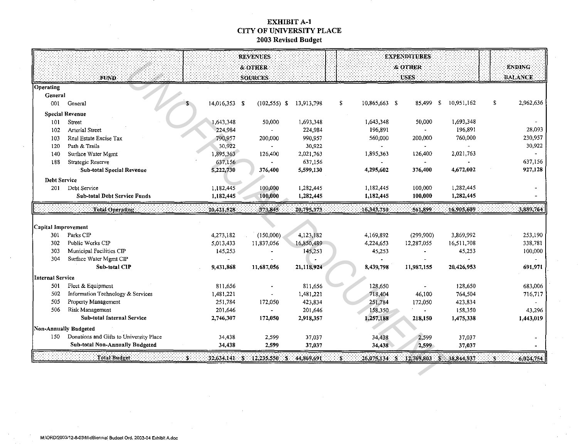# **EXHIBIT A-1** CITY OF UNIVERSITY PLACE 2003 Revised Budget

|                       |                                         |               | <b>REVENUES</b><br>& OTHER                  |            |  |                     | <b>EXPENDITURES</b><br><b>&amp; OTHER</b> |                                          | <b>ENDING</b>   |
|-----------------------|-----------------------------------------|---------------|---------------------------------------------|------------|--|---------------------|-------------------------------------------|------------------------------------------|-----------------|
|                       | :FUND                                   |               | SOURCES                                     |            |  |                     | <b>USES</b>                               |                                          | <b>BALANCE</b>  |
| Operating             |                                         |               |                                             |            |  |                     |                                           |                                          |                 |
| General               |                                         |               |                                             |            |  |                     |                                           |                                          |                 |
| 001                   | General                                 | 14,016,353 \$ | $(102, 555)$ \$                             | 13,913,798 |  | \$<br>10,865,663 \$ | 85,499                                    | $\sqrt{5}$<br>10,951,162                 | \$<br>2,962,636 |
|                       | <b>Special Revenue</b>                  |               |                                             |            |  |                     |                                           |                                          |                 |
| 101                   | Street                                  | 1,643,348     | 50,000                                      | 1,693,348  |  | 1,643,348           | 50,000                                    | 1,693,348                                |                 |
| 102                   | Arterial Street                         | 224,984       |                                             | 224,984    |  | 196,891             |                                           | 196,891                                  | 28,093          |
| 103                   | Real Estate Excise Tax                  | 790,957       | 200,000                                     | 990,957    |  | 560,000             | 200,000                                   | 760,000                                  | 230,957         |
| 120                   | Path & Trails                           | 30,922        |                                             | 30,922     |  |                     |                                           |                                          | 30,922          |
| 140                   | Surface Water Mgmt                      | 1,895,363     | 126,400                                     | 2,021,763  |  | 1,895,363           | 126,400                                   | 2,021,763                                |                 |
| 188                   | Strategic Reserve                       | 637,156       |                                             | 637,156    |  |                     |                                           |                                          | 637,156         |
|                       | Sub-total Special Revenue               | 5,222,730     | 376,400                                     | 5,599,130  |  | 4,295,602           | 376,400                                   | 4,672,002                                | 927,128         |
|                       | <b>Debt Service</b>                     |               |                                             |            |  |                     |                                           |                                          |                 |
| 201                   | Debt Service                            | 1,182,445     | 100,000                                     | 1,282,445  |  | 1,182,445           | 100,000                                   | 1,282,445                                |                 |
|                       | <b>Sub-total Debt Service Funds</b>     | 1,182,445     | 100,000                                     | 1,282,445  |  | 1,182,445           | 100,000                                   | 1,282,445                                |                 |
|                       | Total Operating                         | 20,421,528    | 373.845                                     | 20,795,373 |  | 16,343,710          | 561,899                                   | 16,905,609                               | 3,889,764       |
|                       |                                         |               |                                             |            |  |                     |                                           |                                          |                 |
| Capital Improvement   |                                         |               |                                             |            |  |                     |                                           |                                          |                 |
| 301                   | Parks CIP                               | 4,273,182     | (150,000)                                   | 4,123,182  |  | 4,169,892           | (299,900)                                 | 3,869,992                                | 253,190         |
| 302                   | Public Works CIP                        | 5,013,433     | 11,837,056                                  | 16,850,489 |  | 4,224,653           | 12,287,055                                | 16,511,708                               | 338,781         |
| 303                   | Municipal Facilities CIP                | 145,253       |                                             | 145,253    |  | 45,253              |                                           | 45,253                                   | 100,000         |
| 304                   | Surface Water Mgmt CIP                  |               |                                             |            |  |                     |                                           |                                          |                 |
|                       | Sub-total CIP                           | 9,431,868     | 11,687,056                                  | 21,118,924 |  | 8,439,798           | 11,987,155                                | 20,426,953                               | 691,971         |
| Internal Service      |                                         |               |                                             |            |  |                     |                                           |                                          |                 |
| 501                   | Fleet & Equipment                       | 811,656       |                                             | 811,656    |  | 128,650             | $\overline{\phantom{a}}$                  | 128,650                                  | 683,006         |
| 502                   | Information Technology & Services       | 1,481,221     |                                             | 1,481,221  |  | 718,404             | 46,100                                    | 764,504                                  | 716,717         |
| 505                   | Property Management                     | 251,784       | 172,050                                     | 423,834    |  | 251,784             | 172,050                                   | 423,834                                  |                 |
| 506                   | Risk Management                         | 201,646       |                                             | 201,646    |  | 158,350             |                                           | 158,350                                  | 43,296          |
|                       | Sub-total Internal Service              | 2,746,307     | 172,050                                     | 2,918,357  |  | 1,257,188           | 218,150                                   | 1,475,338                                | 1,443,019       |
| Non-Annually Budgeted |                                         |               |                                             |            |  |                     |                                           |                                          |                 |
| 150                   | Donations and Gifts to University Place | 34,438        | 2.599                                       | 37,037     |  | 34,438              | 2,599                                     | 37,037                                   |                 |
|                       | <b>Sub-total Non-Annually Budgeted</b>  | 34,438        | 2,599                                       | 37,037     |  | 34,438              | 2,599                                     | 37,037                                   |                 |
|                       | Total Budget                            | :S.           | 32.634.141 - \$ 12.235.550 - \$ 144.869.691 |            |  | -5.                 |                                           | $26,075,134$ \$ 12,769,803 \$ 38,844,937 | 6,024,754       |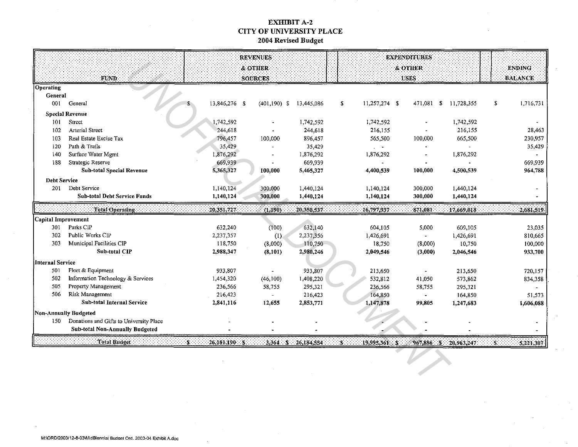## **EXHIBIT A-2 CITY OF UNIVERSITY PLACE** 2004 Revised Budget

|                                                                                                                                      |                                         | <b>REVENUES</b> |                    |            | <b>EXPENDITURES</b> |                               |            |            |                 |
|--------------------------------------------------------------------------------------------------------------------------------------|-----------------------------------------|-----------------|--------------------|------------|---------------------|-------------------------------|------------|------------|-----------------|
|                                                                                                                                      |                                         |                 | <b>&amp; OTHER</b> |            |                     |                               | & OTHER    |            | <b>ENDING</b>   |
|                                                                                                                                      | FUND.                                   |                 | <b>SOURCES</b>     |            |                     |                               | USES       |            | <b>BALANCE</b>  |
| Operating                                                                                                                            |                                         |                 |                    |            |                     |                               |            |            |                 |
| General                                                                                                                              |                                         |                 |                    |            |                     |                               |            |            |                 |
| 001                                                                                                                                  | General                                 | 13,846,276 \$   | $(401, 190)$ \$    | 13,445,086 |                     | 11,257,274 \$<br>$\mathbf{3}$ | 471,081 \$ | 11,728,355 | 1,716,731<br>\$ |
|                                                                                                                                      | <b>Special Revenue</b>                  |                 |                    |            |                     |                               |            |            |                 |
| 101                                                                                                                                  | Street                                  | 1,742,592       |                    | 1,742,592  |                     | 1,742,592                     |            | 1,742,592  |                 |
| 102                                                                                                                                  | Arterial Street                         | 244,618         |                    | 244,618    |                     | 216,155                       |            | 216,155    | 28,463          |
| 103                                                                                                                                  | Real Estate Excise Tax                  | 796,457         | 100,000            | 896,457    |                     | 565,500                       | 100,000    | 665,500    | 230,957         |
| 120                                                                                                                                  | Path & Trails                           | 35,429          |                    | 35,429     |                     | $\sim$                        |            |            | 35,429          |
| 140                                                                                                                                  | Surface Water Mgmt                      | 1,876,292       |                    | 1,876,292  |                     | 1,876,292                     |            | 1,876,292  |                 |
| 188                                                                                                                                  | Strategic Reserve                       | 669,939         |                    | 669,939    |                     |                               |            |            | 669,939         |
|                                                                                                                                      | Sub-total Special Revenue               | 5,365,327       | 100,000            | 5,465,327  |                     | 4,400,539                     | 100,000    | 4,500,539  | 964,788         |
| <b>Debt Service</b>                                                                                                                  |                                         |                 |                    |            |                     |                               |            |            |                 |
| 201                                                                                                                                  | Debt Service                            | 1,140,124       | 300,000            | 1,440,124  |                     | 1,140,124                     | 300,000    | 1,440,124  |                 |
|                                                                                                                                      | <b>Sub-total Debt Service Funds</b>     | 1,140,124       | 300,000            | 1,440,124  |                     | 1,140,124                     | 300,000    | 1,440,124  |                 |
|                                                                                                                                      | Total Operating                         | 20,351,727      | (1,190)            | 20,350,537 |                     | 16,797,937                    | 871,081    | 17,669,018 | 2,681,519       |
| Capital Improvement                                                                                                                  |                                         |                 |                    |            |                     |                               |            |            |                 |
| 301                                                                                                                                  | Parks CIP                               | 632,240         | (100)              | 632,140    |                     | 604,105                       | 5,000      | 609,105    | 23,035          |
| 302                                                                                                                                  | Public Works CIP                        | 2,237,357       | (1)                | 2,237,356  |                     | 1,426,691                     |            | 1,426,691  | 810,665         |
| 303                                                                                                                                  | Municipal Facilities CIP                | 118,750         | (8,000)            | 110,750    |                     | 18,750                        | (8,000)    | 10,750     | 100,000         |
|                                                                                                                                      | Sub-total CIP                           | 2,988,347       | (8, 101)           | 2,980,246  |                     | 2,049,546                     | (3,000)    | 2,046,546  | 933,700         |
| <b>Internal Service</b>                                                                                                              |                                         |                 |                    |            |                     |                               |            |            |                 |
| 501                                                                                                                                  | Fleet & Equipment                       | 933,807         |                    | 933,807    |                     | 213,650                       |            | 213,650    | 720,157         |
| 502                                                                                                                                  | Information Technology & Services       | 1,454,320       | (46,100)           | 1,408,220  |                     | 532,812                       | 41,050     | 573,862    | 834,358         |
| 505                                                                                                                                  | Property Management                     | 236,566         | 58,755             | 295,321    |                     | 236,566                       | 58,755     | 295,321    |                 |
| 506                                                                                                                                  | Risk Management                         | 216,423         |                    | 216,423    |                     | 164,850                       |            | 164,850    | 51,573          |
|                                                                                                                                      | <b>Sub-total Internal Service</b>       | 2,841,116       | 12,655             | 2,853,771  |                     | 1,147,878                     | 99,805     | 1,247,683  | 1,606,088       |
| <b>Non-Annually Budgeted</b>                                                                                                         |                                         |                 |                    |            |                     |                               |            |            |                 |
| 150                                                                                                                                  | Donations and Gifts to University Place |                 |                    |            |                     |                               |            |            |                 |
|                                                                                                                                      | Sub-total Non-Annually Budgeted         |                 |                    |            |                     |                               |            |            |                 |
| Total Budget<br>26.181.190:5<br>19.995.361 S<br>'S.<br>$3.364 - 5 = 26.184,554$<br>$967,886$ \$<br>$-20.963,247$<br>5.221.307<br>۰\$ |                                         |                 |                    |            |                     |                               |            |            |                 |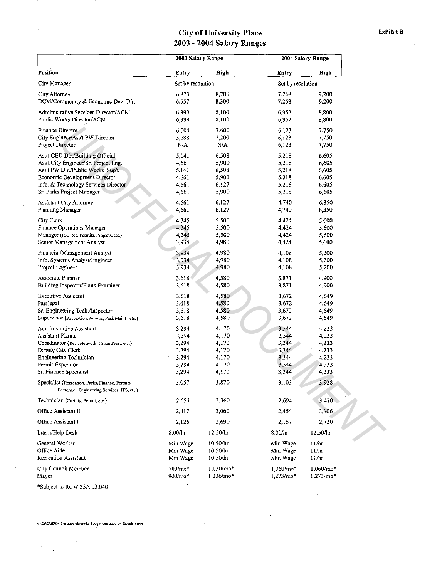# City of University Place Exhibit B 2003 - 2004 Salary Ranges

|                                                                                                 | 2003 Salary Range    |                        | 2004 Salary Range           |                          |  |
|-------------------------------------------------------------------------------------------------|----------------------|------------------------|-----------------------------|--------------------------|--|
| Position                                                                                        | Entry                | High                   | Entry                       | High                     |  |
| City Manager                                                                                    | Set by resolution    |                        | Set by resolution           |                          |  |
| City Attorney                                                                                   | 6,873                | 8,700                  | 7,268                       | 9,200                    |  |
| DCM/Community & Economic Dev. Dir.                                                              | 6,557                | 8,300                  | 7,268                       | 9,200                    |  |
| Administrative Services Director/ACM                                                            | 6,399                | 8,100                  | 6,952                       | 8,800                    |  |
| Public Works Director/ACM                                                                       | 6,399                | 8,100                  | 6,952                       | 8,800                    |  |
| Finance Director                                                                                | 6,004                | 7,600                  | 6,123                       | 7,750                    |  |
| City Engineer/Ass't PW Director                                                                 | 5,688                | 7,200                  | 6,123                       | 7,750                    |  |
| Project Director                                                                                | N/A                  | N/A                    | 6,123                       | 7,750                    |  |
| Ass't CED Dir./Building Official                                                                | 5,141                | 6,508                  | 5,218                       | 6,605                    |  |
| Ass't City Engineer/Sr. Project Eng.                                                            | 4,661                | 5,900                  | 5,218                       | 6,605                    |  |
| Ass't PW Dir./Public Works Sup't                                                                | 5,141                | 6,508                  | 5,218                       | 6,605                    |  |
| Economic Development Director                                                                   | 4,661                | 5,900                  | 5,218                       | 6,605                    |  |
| Info. & Technology Services Director                                                            | 4,661                | 6,127                  | 5,218                       | 6,605                    |  |
| Sr. Parks Project Manager                                                                       | 4,661                | 5,900                  | 5,218                       | 6,605                    |  |
| Assistant City Attorney                                                                         | 4,661                | 6,127                  | 4,740                       | 6,350                    |  |
| Planning Manager                                                                                | 4,661                | 6,127                  | 4,740                       | 6,350                    |  |
| City Clerk                                                                                      | 4,345                | 5,500                  | 4,424                       | 5,600                    |  |
| Finance Operations Manager                                                                      | 4,345                | 5,500                  | 4,424                       | 5,600                    |  |
| Manager (HR, Rec, Permits, Projects, etc.)                                                      | 4,345                | 5,500                  | 4,424                       | 5,600                    |  |
| Senior Management Analyst                                                                       | 3,934                | 4,980                  | 4,424                       | 5,600                    |  |
| Financial/Management Analyst                                                                    | 3,934                | 4,980                  | 4,108                       | 5,200                    |  |
| Info. Systems Analyst/Engineer                                                                  | 3,934                | 4,980                  | 4,108                       | 5,200                    |  |
| Project Engineer                                                                                | 3,934                | 4,980                  | 4,108                       | 5,200                    |  |
| Associate Planner                                                                               | 3,618                | 4,580                  | 3,871                       | 4,900                    |  |
| Building Inspector/Plans Examiner                                                               | 3,618                | 4,580                  | 3,871                       | 4,900                    |  |
| <b>Executive Assistant</b>                                                                      | 3,618                | 4,580                  | 3,672                       | 4,649                    |  |
| Paralegal                                                                                       | 3,618                | 4,580                  | 3,672                       | 4,649                    |  |
| Sr. Engineering Tech./Inspector                                                                 | 3,618                | 4,580                  | 3,672                       | 4,649                    |  |
| Supervisor (Recreation, Admin., Park Maint., etc.)                                              | 3,618                | 4,580                  | 3,672                       | 4,649                    |  |
| Administrative Assistant                                                                        | 3,294                | 4,170                  | 3,344                       | 4,233                    |  |
| Assistant Planner                                                                               | 3,294                | 4,170                  | 3,344                       | 4,233                    |  |
| Coordinator (Rec., Network, Crime Prev., etc.)                                                  | 3,294                | 4,170                  | 3,344                       | 4,233                    |  |
| Deputy City Clerk                                                                               | 3,294                | 4,170                  | 3,344                       | 4,233                    |  |
| Engineering Technician<br>Permit Expeditor                                                      | 3,294                | 4,170<br>4,170         | 3,344                       | 4,233                    |  |
| Sr. Finance Specialist                                                                          | 3,294<br>3,294       | 4,170                  | 3,344<br>3,344              | 4,233<br>4,233           |  |
| Specialist (Recreation, Parks, Finance, Permits,<br>Personnel, Engineering Services, ITS, etc.) | 3,057                | 3,870                  | 3,103                       | 3,928                    |  |
| Technician (Facility, Permit, etc.)                                                             | 2,654                | 3,360                  | 2,694                       | 3,410                    |  |
| Office Assistant II                                                                             | 2,417                | 3,060                  | 2,454                       | 3,106                    |  |
| Office Assistant I                                                                              | 2,125                | 2,690                  | 2,157                       | 2,730                    |  |
| Intern/Help Desk                                                                                | 8.00/hr              | 12.50/hr               | 8.00/hr                     | 12.50/hr                 |  |
|                                                                                                 |                      |                        |                             |                          |  |
| General Worker<br>Office Aide                                                                   | Min Wage<br>Min Wage | 10.50/hr<br>10.50/hr   | Min Wage<br>Min Wage        | 11/hr<br>11/hr           |  |
| Recreation Assistant                                                                            | Min Wage             | 10.50/hr               | Min Wage                    | 11/hr                    |  |
|                                                                                                 |                      |                        |                             |                          |  |
| City Council Member<br>Mayor                                                                    | 700/mo*<br>900/mo*   | 1,030/mo*<br>1,236/mo* | $1,060/mo*$<br>$1,273$ /mo* | 1,060/mo*<br>$1,273/mo*$ |  |
| *Subject to RCW 35A.13.040                                                                      |                      |                        |                             |                          |  |

M:\ORD\2003\12-8-03\MidBiennial Budget Ord 2003-04 Exhibit B.doc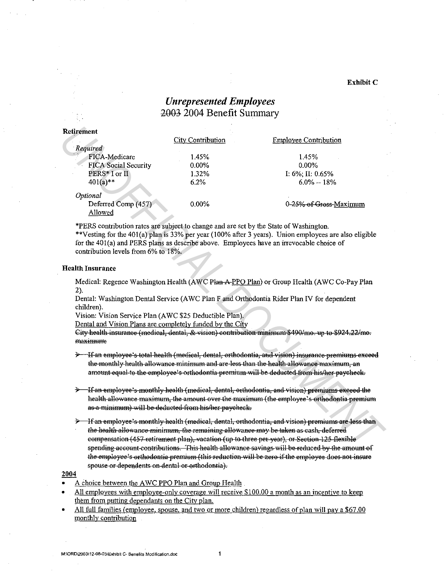### Exhibit C

# **Unrepresented Employees** 2003 2004 Benefit Summary

| etirement                            |                   |                              |
|--------------------------------------|-------------------|------------------------------|
|                                      | City Contribution | <b>Employee Contribution</b> |
| Required                             |                   |                              |
| $\epsilon$ . $\leq$<br>FICA-Medicare | 1.45%             | 1.45%                        |
| <b>FICA Social Security</b>          | $0.00\%$          | $0.00\%$                     |
| PERS* I or II                        | 1.32%             | I: $6\%$ ; II: 0.65%         |
| $401(a)$ **                          | 6.2%              | $6.0\% - 18\%$               |
| Optional                             |                   |                              |
| Deferred Comp (457)                  | $0.00\%$          | 0-25% of Gross-Maximum       |
| Allowed                              |                   |                              |
|                                      |                   |                              |

\*PERS contribution rates are subject to change and are set by the State of Washington.

\*\*Vesting for the 401(a) plan is 33% per year (100% after 3 years). Union employees are also eligible for the 401(a) and PERS plans as describe above. Employees have an irrevocable choice of contribution levels from 6% to 18%.

### **Health Insurance**

Medical: Regence Washington Health (AWC Plan A-PPO Plan) or Group Health (AWC Co-Pay Plan  $2)$ .

Dental: Washington Dental Service (AWC Plan F and Orthodontia Rider Plan IV for dependent children).

Vision: Vision Service Plan (AWC \$25 Deductible Plan).

Dental and Vision Plans are completely funded by the City

City health insurance (medical, dental, & vision) contribution minimum \$490/mo. up to \$924.22/mo. maximum:

Hf an employee's total health (medical, dental, orthodontia, and vision) insurance premiums exceed the monthly health allowance minimum and are less than the health allowance maximum, an amount equal to the employee's orthodontia premium will be deducted from his/her paycheck.

- <del>Hean employee's monthly health (medical, dental, orthodontia, and vision) premiums exceed the</del> health allowance maximum, the amount over the maximum (the employee's orthodontia premium as a minimum) will be deducted from his/her-paycheck.
- H<del>f an employee's monthly health (medical, dental, orthodontia, and vision) premiums are less than —</del> the health allowance minimum, the remaining allowance may be taken as cash, deferred eompensation (457 retirement plan), vacation (up to three per year), or Section 125 flexible spending account contributions. This health allowance savings will be reduced by the amount of the employee's orthodontia premium (this reduction will be zero if the employee does not insure spouse or dependents on dental or orthodontia).

#### 2004

- A choice between the AWC PPO Plan and Group Health
- All employees with employee-only coverage will receive \$100.00 a month as an incentive to keep them from putting dependants on the City plan.
- All full families (employee, spouse, and two or more children) regardless of plan will pay a \$67.00 monthly contribution